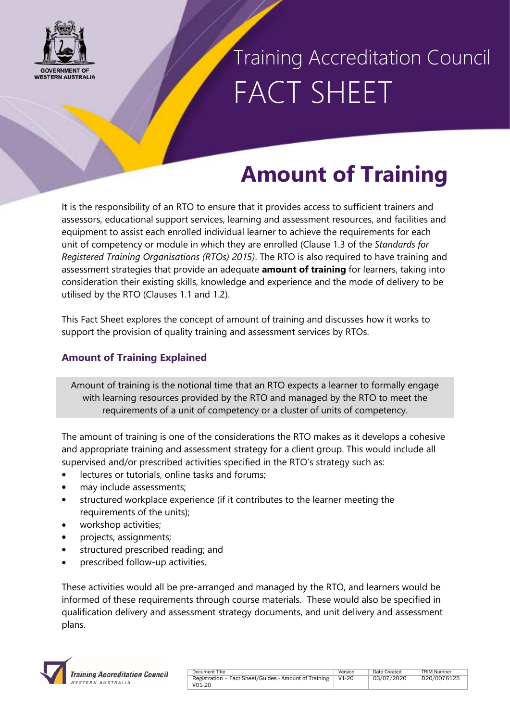

### Training Accreditation Council FACT SHEET

### **Amount of Training**

It is the responsibility of an RTO to ensure that it provides access to sufficient trainers and assessors, educational support services, learning and assessment resources, and facilities and equipment to assist each enrolled individual learner to achieve the requirements for each unit of competency or module in which they are enrolled (Clause 1.3 of the *Standards for Registered Training Organisations (RTOs) 2015)*. The RTO is also required to have training and assessment strategies that provide an adequate **amount of training** for learners, taking into consideration their existing skills, knowledge and experience and the mode of delivery to be utilised by the RTO (Clauses 1.1 and 1.2).

This Fact Sheet explores the concept of amount of training and discusses how it works to support the provision of quality training and assessment services by RTOs.

### **Amount of Training Explained**

Amount of training is the notional time that an RTO expects a learner to formally engage with learning resources provided by the RTO and managed by the RTO to meet the requirements of a unit of competency or a cluster of units of competency.

The amount of training is one of the considerations the RTO makes as it develops a cohesive and appropriate training and assessment strategy for a client group. This would include all supervised and/or prescribed activities specified in the RTO's strategy such as:

- lectures or tutorials, online tasks and forums;
- may include assessments;
- structured workplace experience (if it contributes to the learner meeting the requirements of the units);
- workshop activities;
- projects, assignments;
- structured prescribed reading; and
- prescribed follow-up activities.

These activities would all be pre-arranged and managed by the RTO, and learners would be informed of these requirements through course materials. These would also be specified in qualification delivery and assessment strategy documents, and unit delivery and assessment plans.

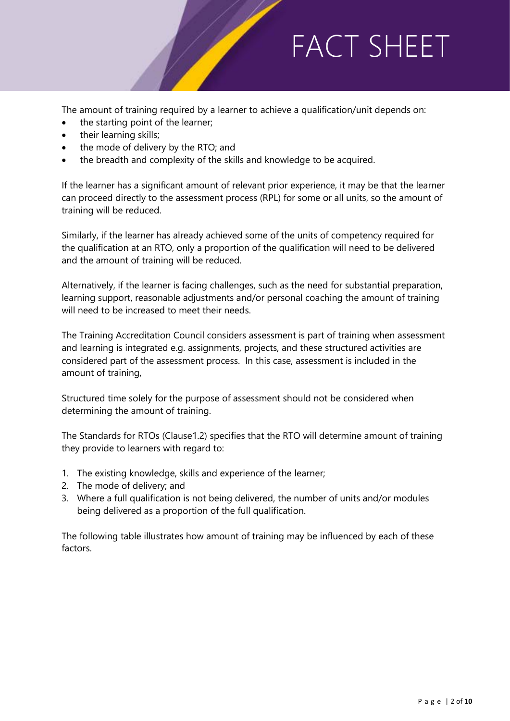The amount of training required by a learner to achieve a qualification/unit depends on:

- the starting point of the learner;
- their learning skills;
- the mode of delivery by the RTO; and
- the breadth and complexity of the skills and knowledge to be acquired.

If the learner has a significant amount of relevant prior experience, it may be that the learner can proceed directly to the assessment process (RPL) for some or all units, so the amount of training will be reduced.

Similarly, if the learner has already achieved some of the units of competency required for the qualification at an RTO, only a proportion of the qualification will need to be delivered and the amount of training will be reduced.

Alternatively, if the learner is facing challenges, such as the need for substantial preparation, learning support, reasonable adjustments and/or personal coaching the amount of training will need to be increased to meet their needs.

The Training Accreditation Council considers assessment is part of training when assessment and learning is integrated e.g. assignments, projects, and these structured activities are considered part of the assessment process. In this case, assessment is included in the amount of training,

Structured time solely for the purpose of assessment should not be considered when determining the amount of training.

The Standards for RTOs (Clause1.2) specifies that the RTO will determine amount of training they provide to learners with regard to:

- 1. The existing knowledge, skills and experience of the learner;
- 2. The mode of delivery; and
- 3. Where a full qualification is not being delivered, the number of units and/or modules being delivered as a proportion of the full qualification.

The following table illustrates how amount of training may be influenced by each of these factors.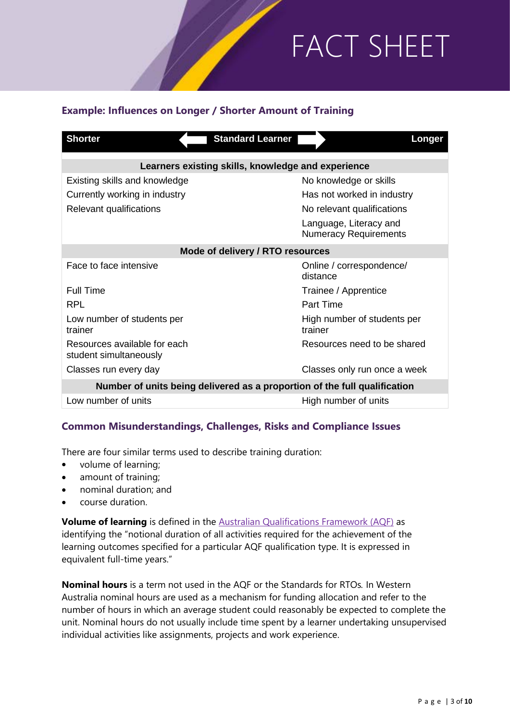### **Example: Influences on Longer / Shorter Amount of Training**

| <b>Shorter</b><br><b>Standard Learner</b>                                 | Longer                                                 |  |
|---------------------------------------------------------------------------|--------------------------------------------------------|--|
| Learners existing skills, knowledge and experience                        |                                                        |  |
| Existing skills and knowledge                                             | No knowledge or skills                                 |  |
| Currently working in industry                                             | Has not worked in industry                             |  |
| Relevant qualifications                                                   | No relevant qualifications                             |  |
|                                                                           | Language, Literacy and<br><b>Numeracy Requirements</b> |  |
| Mode of delivery / RTO resources                                          |                                                        |  |
| Face to face intensive                                                    | Online / correspondence/<br>distance                   |  |
| <b>Full Time</b>                                                          | Trainee / Apprentice                                   |  |
| <b>RPL</b>                                                                | Part Time                                              |  |
| Low number of students per<br>trainer                                     | High number of students per<br>trainer                 |  |
| Resources available for each<br>student simultaneously                    | Resources need to be shared                            |  |
| Classes run every day                                                     | Classes only run once a week                           |  |
| Number of units being delivered as a proportion of the full qualification |                                                        |  |
| Low number of units                                                       | High number of units                                   |  |

#### **Common Misunderstandings, Challenges, Risks and Compliance Issues**

There are four similar terms used to describe training duration:

- volume of learning;
- amount of training;
- nominal duration; and
- course duration.

**Volume of learning** is defined in the [Australian Qualifications Framework \(AQF\)](https://www.aqf.edu.au/sites/aqf/files/volume-of-learning-explanation-v2-2014.pdf) as identifying the "notional duration of all activities required for the achievement of the learning outcomes specified for a particular AQF qualification type. It is expressed in [equivalent full-time years."](https://www.aqf.edu.au/sites/aqf/files/volume-of-learning-explanation-v2-2014.pdf)

**Nominal hours** is a term not used in the AQF or the Standards for RTOs*.* In Western Australia nominal hours are used as a mechanism for funding allocation and refer to the number of hours in which an average student could reasonably be expected to complete the unit. Nominal hours do not usually include time spent by a learner undertaking unsupervised individual activities like assignments, projects and work experience.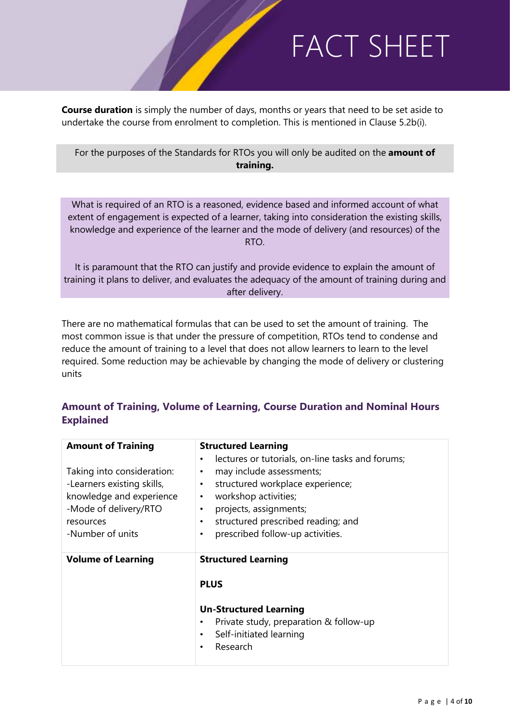**Course duration** is simply the number of days, months or years that need to be set aside to undertake the course from enrolment to completion. This is mentioned in Clause 5.2b(i).

For the purposes of the Standards for RTOs you will only be audited on the **amount of training.**

What is required of an RTO is a reasoned, evidence based and informed account of what extent of engagement is expected of a learner, taking into consideration the existing skills, knowledge and experience of the learner and the mode of delivery (and resources) of the RTO.

It is paramount that the RTO can justify and provide evidence to explain the amount of training it plans to deliver, and evaluates the adequacy of the amount of training during and after delivery.

There are no mathematical formulas that can be used to set the amount of training. The most common issue is that under the pressure of competition, RTOs tend to condense and reduce the amount of training to a level that does not allow learners to learn to the level required. Some reduction may be achievable by changing the mode of delivery or clustering units

#### **Amount of Training, Volume of Learning, Course Duration and Nominal Hours Explained**

| <b>Amount of Training</b>                                                                                                                      | <b>Structured Learning</b>                                                                                                                                                                                                                                                       |  |
|------------------------------------------------------------------------------------------------------------------------------------------------|----------------------------------------------------------------------------------------------------------------------------------------------------------------------------------------------------------------------------------------------------------------------------------|--|
| Taking into consideration:<br>-Learners existing skills,<br>knowledge and experience<br>-Mode of delivery/RTO<br>resources<br>-Number of units | lectures or tutorials, on-line tasks and forums;<br>may include assessments;<br>٠<br>structured workplace experience;<br>٠<br>workshop activities;<br>$\bullet$<br>projects, assignments;<br>$\bullet$<br>structured prescribed reading; and<br>prescribed follow-up activities. |  |
| <b>Volume of Learning</b>                                                                                                                      | <b>Structured Learning</b><br><b>PLUS</b><br><b>Un-Structured Learning</b><br>Private study, preparation & follow-up<br>Self-initiated learning<br>Research                                                                                                                      |  |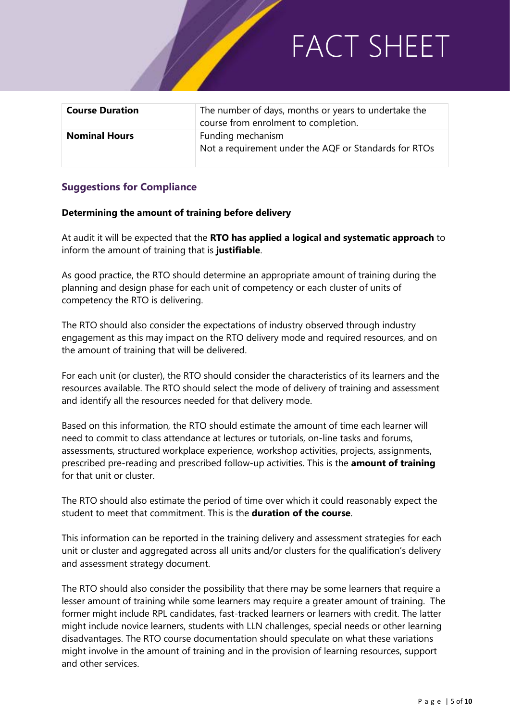| <b>Course Duration</b> | The number of days, months or years to undertake the<br>course from enrolment to completion. |
|------------------------|----------------------------------------------------------------------------------------------|
| <b>Nominal Hours</b>   | Funding mechanism<br>Not a requirement under the AQF or Standards for RTOs                   |

#### **Suggestions for Compliance**

#### **Determining the amount of training before delivery**

At audit it will be expected that the **RTO has applied a logical and systematic approach** to inform the amount of training that is **justifiable**.

As good practice, the RTO should determine an appropriate amount of training during the planning and design phase for each unit of competency or each cluster of units of competency the RTO is delivering.

The RTO should also consider the expectations of industry observed through industry engagement as this may impact on the RTO delivery mode and required resources, and on the amount of training that will be delivered.

For each unit (or cluster), the RTO should consider the characteristics of its learners and the resources available. The RTO should select the mode of delivery of training and assessment and identify all the resources needed for that delivery mode.

Based on this information, the RTO should estimate the amount of time each learner will need to commit to class attendance at lectures or tutorials, on-line tasks and forums, assessments, structured workplace experience, workshop activities, projects, assignments, prescribed pre-reading and prescribed follow-up activities. This is the **amount of training** for that unit or cluster.

The RTO should also estimate the period of time over which it could reasonably expect the student to meet that commitment. This is the **duration of the course**.

This information can be reported in the training delivery and assessment strategies for each unit or cluster and aggregated across all units and/or clusters for the qualification's delivery and assessment strategy document.

The RTO should also consider the possibility that there may be some learners that require a lesser amount of training while some learners may require a greater amount of training. The former might include RPL candidates, fast-tracked learners or learners with credit. The latter might include novice learners, students with LLN challenges, special needs or other learning disadvantages. The RTO course documentation should speculate on what these variations might involve in the amount of training and in the provision of learning resources, support and other services.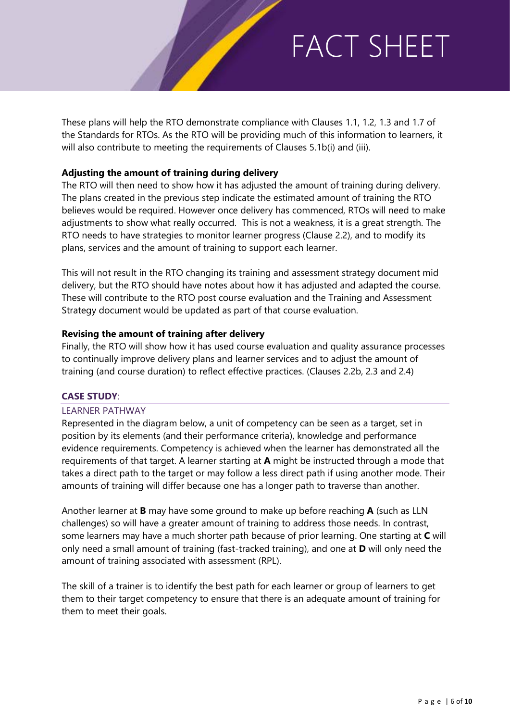These plans will help the RTO demonstrate compliance with Clauses 1.1, 1.2, 1.3 and 1.7 of the Standards for RTOs. As the RTO will be providing much of this information to learners, it will also contribute to meeting the requirements of Clauses 5.1b(i) and (iii).

#### **Adjusting the amount of training during delivery**

The RTO will then need to show how it has adjusted the amount of training during delivery. The plans created in the previous step indicate the estimated amount of training the RTO believes would be required. However once delivery has commenced, RTOs will need to make adjustments to show what really occurred. This is not a weakness, it is a great strength. The RTO needs to have strategies to monitor learner progress (Clause 2.2), and to modify its plans, services and the amount of training to support each learner.

This will not result in the RTO changing its training and assessment strategy document mid delivery, but the RTO should have notes about how it has adjusted and adapted the course. These will contribute to the RTO post course evaluation and the Training and Assessment Strategy document would be updated as part of that course evaluation.

#### **Revising the amount of training after delivery**

Finally, the RTO will show how it has used course evaluation and quality assurance processes to continually improve delivery plans and learner services and to adjust the amount of training (and course duration) to reflect effective practices. (Clauses 2.2b, 2.3 and 2.4)

#### **CASE STUDY**:

#### LEARNER PATHWAY

Represented in the diagram below, a unit of competency can be seen as a target, set in position by its elements (and their performance criteria), knowledge and performance evidence requirements. Competency is achieved when the learner has demonstrated all the requirements of that target. A learner starting at **A** might be instructed through a mode that takes a direct path to the target or may follow a less direct path if using another mode. Their amounts of training will differ because one has a longer path to traverse than another.

Another learner at **B** may have some ground to make up before reaching **A** (such as LLN challenges) so will have a greater amount of training to address those needs. In contrast, some learners may have a much shorter path because of prior learning. One starting at **C** will only need a small amount of training (fast-tracked training), and one at **D** will only need the amount of training associated with assessment (RPL).

The skill of a trainer is to identify the best path for each learner or group of learners to get them to their target competency to ensure that there is an adequate amount of training for them to meet their goals.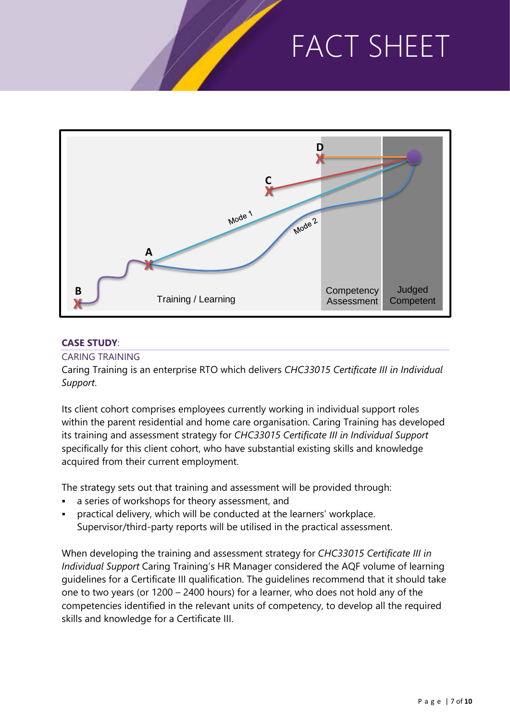

### **CASE STUDY**:

#### CARING TRAINING

Caring Training is an enterprise RTO which delivers *CHC33015 Certificate III in Individual Support*.

Its client cohort comprises employees currently working in individual support roles within the parent residential and home care organisation. Caring Training has developed its training and assessment strategy for *CHC33015 Certificate III in Individual Support* specifically for this client cohort, who have substantial existing skills and knowledge acquired from their current employment.

The strategy sets out that training and assessment will be provided through:

- a series of workshops for theory assessment, and
- practical delivery, which will be conducted at the learners' workplace. Supervisor/third-party reports will be utilised in the practical assessment.

When developing the training and assessment strategy for *CHC33015 Certificate III in Individual Support* Caring Training's HR Manager considered the AQF volume of learning guidelines for a Certificate III qualification. The guidelines recommend that it should take one to two years (or 1200 – 2400 hours) for a learner, who does not hold any of the competencies identified in the relevant units of competency, to develop all the required skills and knowledge for a Certificate III.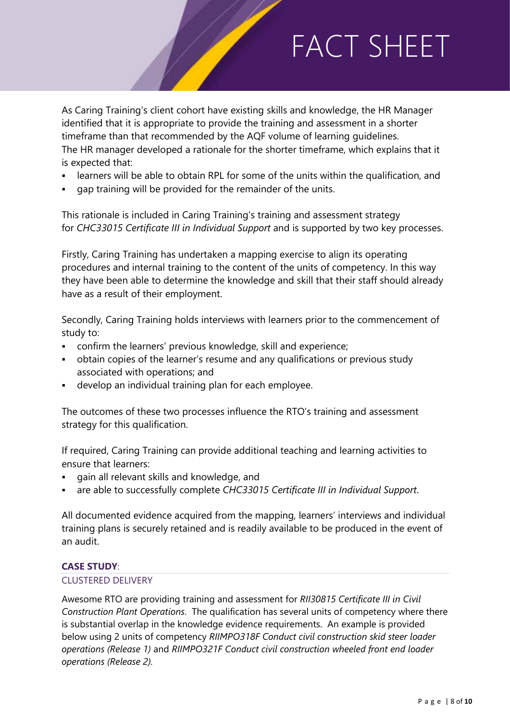As Caring Training's client cohort have existing skills and knowledge, the HR Manager identified that it is appropriate to provide the training and assessment in a shorter timeframe than that recommended by the AQF volume of learning guidelines. The HR manager developed a rationale for the shorter timeframe, which explains that it is expected that:

- learners will be able to obtain RPL for some of the units within the qualification, and
- gap training will be provided for the remainder of the units.

This rationale is included in Caring Training's training and assessment strategy for *CHC33015 Certificate III in Individual Support* and is supported by two key processes.

Firstly, Caring Training has undertaken a mapping exercise to align its operating procedures and internal training to the content of the units of competency. In this way they have been able to determine the knowledge and skill that their staff should already have as a result of their employment.

Secondly, Caring Training holds interviews with learners prior to the commencement of study to:

- confirm the learners' previous knowledge, skill and experience;
- obtain copies of the learner's resume and any qualifications or previous study associated with operations; and
- develop an individual training plan for each employee.

The outcomes of these two processes influence the RTO's training and assessment strategy for this qualification.

If required, Caring Training can provide additional teaching and learning activities to ensure that learners:

- gain all relevant skills and knowledge, and
- are able to successfully complete *CHC33015 Certificate III in Individual Support*.

All documented evidence acquired from the mapping, learners' interviews and individual training plans is securely retained and is readily available to be produced in the event of an audit.

#### **CASE STUDY**:

#### CLUSTERED DELIVERY

Awesome RTO are providing training and assessment for *RII30815 Certificate III in Civil Construction Plant Operations*. The qualification has several units of competency where there is substantial overlap in the knowledge evidence requirements. An example is provided below using 2 units of competency *RIIMPO318F Conduct civil construction skid steer loader operations (Release 1)* and *RIIMPO321F Conduct civil construction wheeled front end loader operations (Release 2).*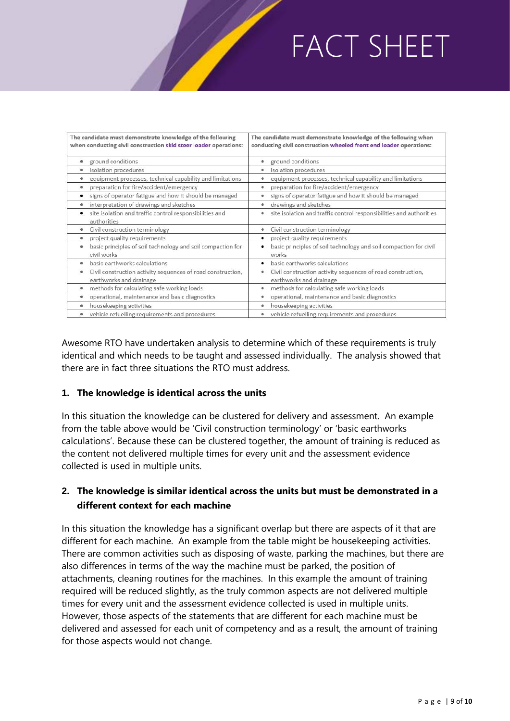| The candidate must demonstrate knowledge of the following<br>when conducting civil construction skid steer loader operations: | The candidate must demonstrate knowledge of the following when<br>conducting civil construction wheeled front end loader operations: |
|-------------------------------------------------------------------------------------------------------------------------------|--------------------------------------------------------------------------------------------------------------------------------------|
| ground conditions                                                                                                             | ground conditions<br>٠                                                                                                               |
| isolation procedures                                                                                                          | isolation procedures<br>۰                                                                                                            |
| equipment processes, technical capability and limitations                                                                     | equipment processes, technical capability and limitations<br>۰                                                                       |
| preparation for fire/accident/emergency                                                                                       | preparation for fire/accident/emergency<br>٠                                                                                         |
| signs of operator fatigue and how it should be managed                                                                        | signs of operator fatigue and how it should be managed<br>٠                                                                          |
| interpretation of drawings and sketches                                                                                       | drawings and sketches<br>۰                                                                                                           |
| site isolation and traffic control responsibilities and<br>authorities                                                        | site isolation and traffic control responsibilities and authorities<br>۰                                                             |
| Civil construction terminology                                                                                                | Civil construction terminology<br>۰                                                                                                  |
| project quality requirements<br>٠                                                                                             | project quality requirements<br>٠                                                                                                    |
| basic principles of soil technology and soil compaction for<br>civil works                                                    | basic principles of soil technology and soil compaction for civil<br>works                                                           |
| basic earthworks calculations                                                                                                 | basic earthworks calculations<br>٠                                                                                                   |
| Civil construction activity sequences of road construction,<br>٠<br>earthworks and drainage                                   | Civil construction activity sequences of road construction,<br>۰<br>earthworks and drainage                                          |
| methods for calculating safe working loads                                                                                    | methods for calculating safe working loads<br>٠                                                                                      |
| operational, maintenance and basic diagnostics                                                                                | operational, maintenance and basic diagnostics                                                                                       |
| housekeeping activities                                                                                                       | housekeeping activities<br>۰                                                                                                         |
| vehicle refuelling requirements and procedures                                                                                | vehicle refuelling requirements and procedures                                                                                       |

Awesome RTO have undertaken analysis to determine which of these requirements is truly identical and which needs to be taught and assessed individually. The analysis showed that there are in fact three situations the RTO must address.

#### **1. The knowledge is identical across the units**

In this situation the knowledge can be clustered for delivery and assessment. An example from the table above would be 'Civil construction terminology' or 'basic earthworks calculations'. Because these can be clustered together, the amount of training is reduced as the content not delivered multiple times for every unit and the assessment evidence collected is used in multiple units.

### **2. The knowledge is similar identical across the units but must be demonstrated in a different context for each machine**

In this situation the knowledge has a significant overlap but there are aspects of it that are different for each machine. An example from the table might be housekeeping activities. There are common activities such as disposing of waste, parking the machines, but there are also differences in terms of the way the machine must be parked, the position of attachments, cleaning routines for the machines. In this example the amount of training required will be reduced slightly, as the truly common aspects are not delivered multiple times for every unit and the assessment evidence collected is used in multiple units. However, those aspects of the statements that are different for each machine must be delivered and assessed for each unit of competency and as a result, the amount of training for those aspects would not change.